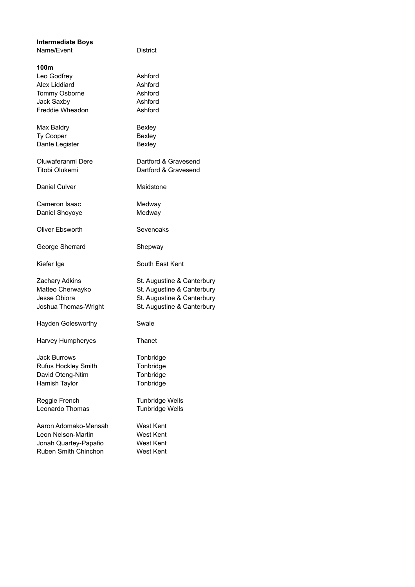| <b>Intermediate Boys</b><br>Name/Event                                                      | District                                                                                                             |
|---------------------------------------------------------------------------------------------|----------------------------------------------------------------------------------------------------------------------|
| 100m<br>Leo Godfrey<br>Alex Liddiard<br>Tommy Osborne<br>Jack Saxby<br>Freddie Wheadon      | Ashford<br>Ashford<br>Ashford<br>Ashford<br>Ashford                                                                  |
| Max Baldry<br>Ty Cooper<br>Dante Legister                                                   | Bexley<br>Bexley<br>Bexley                                                                                           |
| Oluwaferanmi Dere<br>Titobi Olukemi                                                         | Dartford & Gravesend<br>Dartford & Gravesend                                                                         |
| Daniel Culver                                                                               | Maidstone                                                                                                            |
| Cameron Isaac<br>Daniel Shoyoye                                                             | Medway<br>Medway                                                                                                     |
| Oliver Ebsworth                                                                             | Sevenoaks                                                                                                            |
| George Sherrard                                                                             | Shepway                                                                                                              |
| Kiefer Ige                                                                                  | South East Kent                                                                                                      |
| <b>Zachary Adkins</b><br>Matteo Cherwayko<br>Jesse Obiora<br>Joshua Thomas-Wright           | St. Augustine & Canterbury<br>St. Augustine & Canterbury<br>St. Augustine & Canterbury<br>St. Augustine & Canterbury |
| <b>Hayden Golesworthy</b>                                                                   | Swale                                                                                                                |
| Harvey Humpheryes                                                                           | Thanet                                                                                                               |
| Jack Burrows<br><b>Rufus Hockley Smith</b><br>David Oteng-Ntim<br>Hamish Taylor             | Tonbridge<br>Tonbridge<br>Tonbridge<br>Tonbridge                                                                     |
| Reggie French<br>Leonardo Thomas                                                            | <b>Tunbridge Wells</b><br><b>Tunbridge Wells</b>                                                                     |
| Aaron Adomako-Mensah<br>Leon Nelson-Martin<br>Jonah Quartey-Papafio<br>Ruben Smith Chinchon | West Kent<br>West Kent<br>West Kent<br>West Kent                                                                     |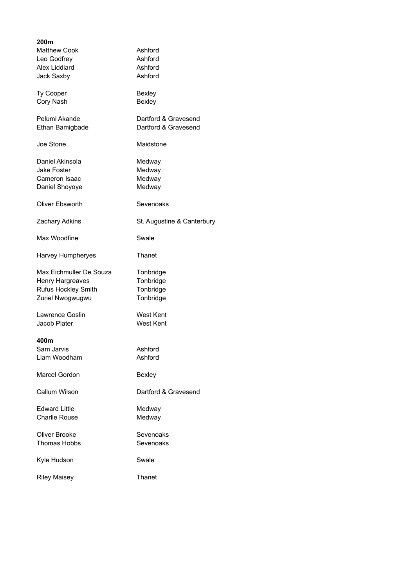| 200m                    |                            |
|-------------------------|----------------------------|
| <b>Matthew Cook</b>     | Ashford                    |
| Leo Godfrey             | Ashford                    |
| Alex Liddiard           | Ashford                    |
|                         |                            |
| Jack Saxby              | Ashford                    |
| <b>Ty Cooper</b>        | Bexley                     |
| Cory Nash               | Bexley                     |
|                         |                            |
| Pelumi Akande           | Dartford & Gravesend       |
| Ethan Bamigbade         | Dartford & Gravesend       |
| Joe Stone               | Maidstone                  |
|                         |                            |
| Daniel Akinsola         | Medway                     |
| Jake Foster             | Medway                     |
| Cameron Isaac           | Medway                     |
|                         | Medway                     |
| Daniel Shoyoye          |                            |
| Oliver Ebsworth         | Sevenoaks                  |
| <b>Zachary Adkins</b>   | St. Augustine & Canterbury |
| Max Woodfine            | Swale                      |
| Harvey Humpheryes       | Thanet                     |
| Max Eichmuller De Souza | Tonbridge                  |
| Henry Hargreaves        | Tonbridge                  |
|                         |                            |
| Rufus Hockley Smith     | Tonbridge                  |
| Zuriel Nwogwugwu        | Tonbridge                  |
| Lawrence Goslin         | West Kent                  |
|                         | West Kent                  |
| Jacob Plater            |                            |
| 400m                    |                            |
| Sam Jarvis              | Ashford                    |
| Liam Woodham            | Ashford                    |
|                         |                            |
| <b>Marcel Gordon</b>    | Bexley                     |
| <b>Callum Wilson</b>    | Dartford & Gravesend       |
| <b>Edward Little</b>    | Medway                     |
| <b>Charlie Rouse</b>    | Medway                     |
|                         |                            |
| Oliver Brooke           | Sevenoaks                  |
| <b>Thomas Hobbs</b>     | Sevenoaks                  |
|                         |                            |
| Kyle Hudson             | Swale                      |
| <b>Riley Maisey</b>     | Thanet                     |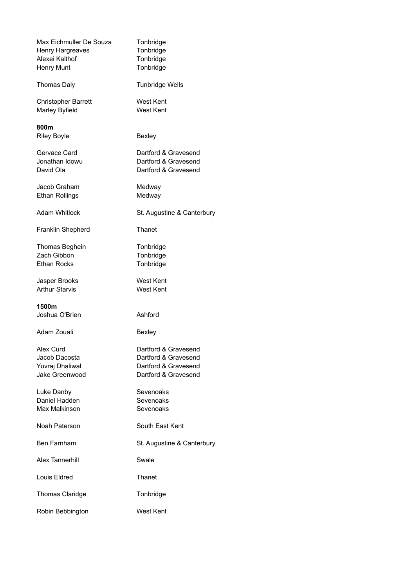| Max Eichmuller De Souza<br>Henry Hargreaves<br>Alexei Kalthof<br>Henry Munt | Tonbridge<br>Tonbridge<br>Tonbridge<br>Tonbridge                                             |
|-----------------------------------------------------------------------------|----------------------------------------------------------------------------------------------|
| <b>Thomas Daly</b>                                                          | <b>Tunbridge Wells</b>                                                                       |
| <b>Christopher Barrett</b><br>Marley Byfield                                | West Kent<br><b>West Kent</b>                                                                |
| 800m<br><b>Riley Boyle</b>                                                  | Bexley                                                                                       |
| Gervace Card<br>Jonathan Idowu<br>David Ola                                 | Dartford & Gravesend<br>Dartford & Gravesend<br>Dartford & Gravesend                         |
| Jacob Graham<br><b>Ethan Rollings</b>                                       | Medway<br>Medway                                                                             |
| <b>Adam Whitlock</b>                                                        | St. Augustine & Canterbury                                                                   |
| Franklin Shepherd                                                           | Thanet                                                                                       |
| <b>Thomas Beghein</b><br>Zach Gibbon<br><b>Ethan Rocks</b>                  | Tonbridge<br>Tonbridge<br>Tonbridge                                                          |
| Jasper Brooks<br><b>Arthur Starvis</b>                                      | West Kent<br><b>West Kent</b>                                                                |
| 1500m<br>Joshua O'Brien                                                     | Ashford                                                                                      |
| Adam Zouali                                                                 | Bexley                                                                                       |
| Alex Curd<br>Jacob Dacosta<br>Yuvraj Dhaliwal<br>Jake Greenwood             | Dartford & Gravesend<br>Dartford & Gravesend<br>Dartford & Gravesend<br>Dartford & Gravesend |
| Luke Danby<br>Daniel Hadden<br>Max Malkinson                                | Sevenoaks<br>Sevenoaks<br>Sevenoaks                                                          |
| Noah Paterson                                                               | South East Kent                                                                              |
| <b>Ben Farnham</b>                                                          | St. Augustine & Canterbury                                                                   |
| <b>Alex Tannerhill</b>                                                      | Swale                                                                                        |
| Louis Eldred                                                                | Thanet                                                                                       |
| Thomas Claridge                                                             | Tonbridge                                                                                    |
| Robin Bebbington                                                            | <b>West Kent</b>                                                                             |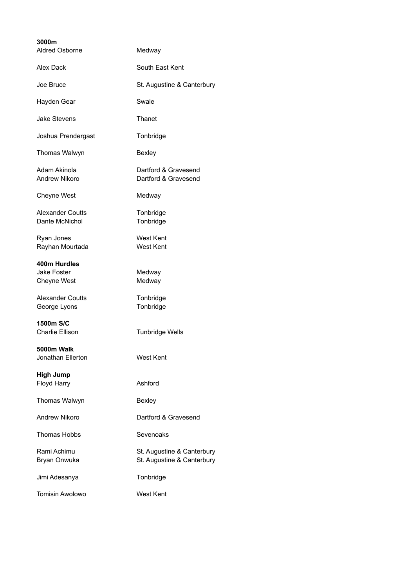| 3000m<br><b>Aldred Osborne</b>            | Medway                                                   |
|-------------------------------------------|----------------------------------------------------------|
| Alex Dack                                 | South East Kent                                          |
| Joe Bruce                                 | St. Augustine & Canterbury                               |
| Hayden Gear                               | Swale                                                    |
| <b>Jake Stevens</b>                       | Thanet                                                   |
| Joshua Prendergast                        | Tonbridge                                                |
| Thomas Walwyn                             | Bexley                                                   |
| Adam Akinola<br><b>Andrew Nikoro</b>      | Dartford & Gravesend<br>Dartford & Gravesend             |
| Cheyne West                               | Medway                                                   |
| <b>Alexander Coutts</b><br>Dante McNichol | Tonbridge<br>Tonbridge                                   |
| Ryan Jones<br>Rayhan Mourtada             | West Kent<br><b>West Kent</b>                            |
| 400m Hurdles                              |                                                          |
| Jake Foster<br><b>Cheyne West</b>         | Medway<br>Medway                                         |
| <b>Alexander Coutts</b><br>George Lyons   | Tonbridge<br>Tonbridge                                   |
| 1500m S/C<br><b>Charlie Ellison</b>       | <b>Tunbridge Wells</b>                                   |
| 5000m Walk<br>Jonathan Ellerton           | West Kent                                                |
| <b>High Jump</b><br>Floyd Harry           | Ashford                                                  |
| Thomas Walwyn                             | Bexley                                                   |
| <b>Andrew Nikoro</b>                      | Dartford & Gravesend                                     |
| Thomas Hobbs                              | Sevenoaks                                                |
| Rami Achimu<br>Bryan Onwuka               | St. Augustine & Canterbury<br>St. Augustine & Canterbury |
| Jimi Adesanya                             | Tonbridge                                                |
| <b>Tomisin Awolowo</b>                    | <b>West Kent</b>                                         |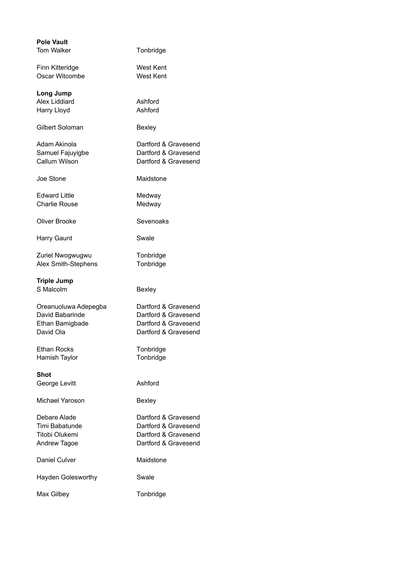| <b>Pole Vault</b>         |                      |
|---------------------------|----------------------|
| <b>Tom Walker</b>         | Tonbridge            |
| Finn Kitteridge           | West Kent            |
| Oscar Witcombe            | <b>West Kent</b>     |
|                           |                      |
| Long Jump                 |                      |
| Alex Liddiard             | Ashford              |
| Harry Lloyd               | Ashford              |
| Gilbert Soloman           | Bexley               |
| Adam Akinola              | Dartford & Gravesend |
| Samuel Fajuyigbe          | Dartford & Gravesend |
| <b>Callum Wilson</b>      | Dartford & Gravesend |
| Joe Stone                 | Maidstone            |
| Edward Little             | Medway               |
| <b>Charlie Rouse</b>      | Medway               |
| Oliver Brooke             | Sevenoaks            |
| Harry Gaunt               | Swale                |
| Zuriel Nwogwugwu          | Tonbridge            |
| Alex Smith-Stephens       | Tonbridge            |
| <b>Triple Jump</b>        |                      |
| S Malcolm                 | Bexley               |
| Oreanuoluwa Adepegba      | Dartford & Gravesend |
| David Babarinde           | Dartford & Gravesend |
| Ethan Bamigbade           | Dartford & Gravesend |
| David Ola                 | Dartford & Gravesend |
| <b>Ethan Rocks</b>        | Tonbridge            |
| Hamish Taylor             | Tonbridge            |
| <b>Shot</b>               |                      |
| George Levitt             | Ashford              |
| Michael Yaroson           | Bexley               |
| Debare Alade              | Dartford & Gravesend |
| Timi Babatunde            | Dartford & Gravesend |
| Titobi Olukemi            | Dartford & Gravesend |
| Andrew Tagoe              | Dartford & Gravesend |
|                           |                      |
| Daniel Culver             | Maidstone            |
| <b>Hayden Golesworthy</b> | Swale                |
| Max Gilbey                | Tonbridge            |